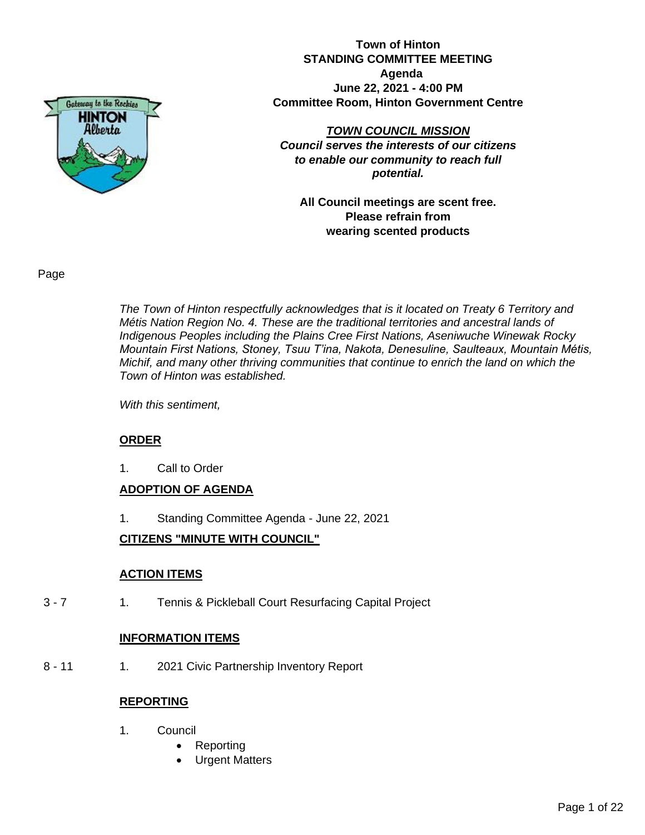

**Town of Hinton STANDING COMMITTEE MEETING Agenda June 22, 2021 - 4:00 PM Committee Room, Hinton Government Centre**

*TOWN COUNCIL MISSION Council serves the interests of our citizens to enable our community to reach full potential.*

**All Council meetings are scent free. Please refrain from wearing scented products**

Page

*The Town of Hinton respectfully acknowledges that is it located on Treaty 6 Territory and Métis Nation Region No. 4. These are the traditional territories and ancestral lands of Indigenous Peoples including the Plains Cree First Nations, Aseniwuche Winewak Rocky Mountain First Nations, Stoney, Tsuu T'ina, Nakota, Denesuline, Saulteaux, Mountain Métis, Michif, and many other thriving communities that continue to enrich the land on which the Town of Hinton was established.* 

*With this sentiment,* 

# **ORDER**

1. Call to Order

# **ADOPTION OF AGENDA**

1. Standing Committee Agenda - June 22, 2021

# **CITIZENS "MINUTE WITH COUNCIL"**

# **ACTION ITEMS**

3 - 7 1. Tennis & Pickleball Court Resurfacing Capital Project

#### **INFORMATION ITEMS**

8 - 11 1. 2021 Civic Partnership Inventory Report

#### **REPORTING**

- 1. Council
	- Reporting
	- Urgent Matters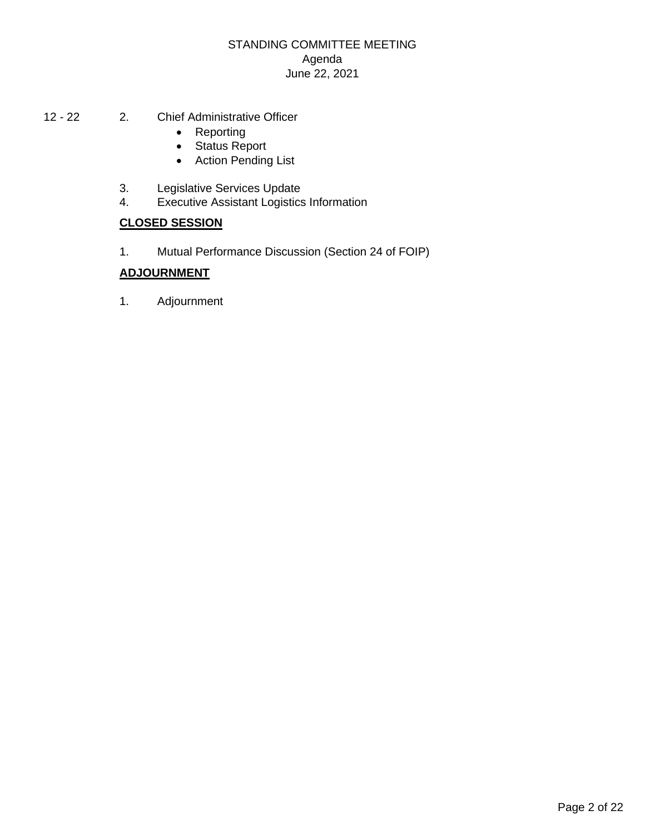# STANDING COMMITTEE MEETING Agenda June 22, 2021

- 12 22 2. Chief Administrative Officer
	- Reporting
	- Status Report
	- Action Pending List
	- 3. Legislative Services Update
	- 4. Executive Assistant Logistics Information

# **CLOSED SESSION**

1. Mutual Performance Discussion (Section 24 of FOIP)

# **ADJOURNMENT**

1. Adjournment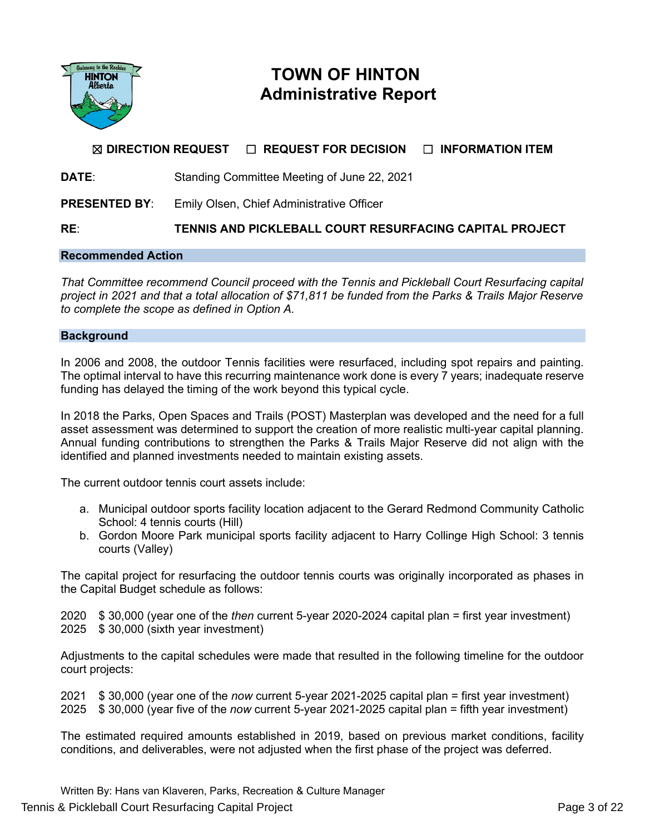

# **TOWN OF HINTON Administrative Report**

# ☒ **DIRECTION REQUEST** ☐ **REQUEST FOR DECISION** ☐ **INFORMATION ITEM**

**DATE**: Standing Committee Meeting of June 22, 2021

**PRESENTED BY:** Emily Olsen, Chief Administrative Officer

**RE**: **TENNIS AND PICKLEBALL COURT RESURFACING CAPITAL PROJECT**

#### **Recommended Action**

*That Committee recommend Council proceed with the Tennis and Pickleball Court Resurfacing capital project in 2021 and that a total allocation of \$71,811 be funded from the Parks & Trails Major Reserve to complete the scope as defined in Option A.*

#### **Background**

In 2006 and 2008, the outdoor Tennis facilities were resurfaced, including spot repairs and painting. The optimal interval to have this recurring maintenance work done is every 7 years; inadequate reserve funding has delayed the timing of the work beyond this typical cycle.

In 2018 the Parks, Open Spaces and Trails (POST) Masterplan was developed and the need for a full asset assessment was determined to support the creation of more realistic multi-year capital planning. Annual funding contributions to strengthen the Parks & Trails Major Reserve did not align with the identified and planned investments needed to maintain existing assets.

The current outdoor tennis court assets include:

- a. Municipal outdoor sports facility location adjacent to the Gerard Redmond Community Catholic School: 4 tennis courts (Hill)
- b. Gordon Moore Park municipal sports facility adjacent to Harry Collinge High School: 3 tennis courts (Valley)

The capital project for resurfacing the outdoor tennis courts was originally incorporated as phases in the Capital Budget schedule as follows:

2020 \$ 30,000 (year one of the *then* current 5-year 2020-2024 capital plan = first year investment) 2025 \$ 30,000 (sixth year investment)

Adjustments to the capital schedules were made that resulted in the following timeline for the outdoor court projects:

2021 \$ 30,000 (year one of the *now* current 5-year 2021-2025 capital plan = first year investment) 2025 \$ 30,000 (year five of the *now* current 5-year 2021-2025 capital plan = fifth year investment)

The estimated required amounts established in 2019, based on previous market conditions, facility conditions, and deliverables, were not adjusted when the first phase of the project was deferred.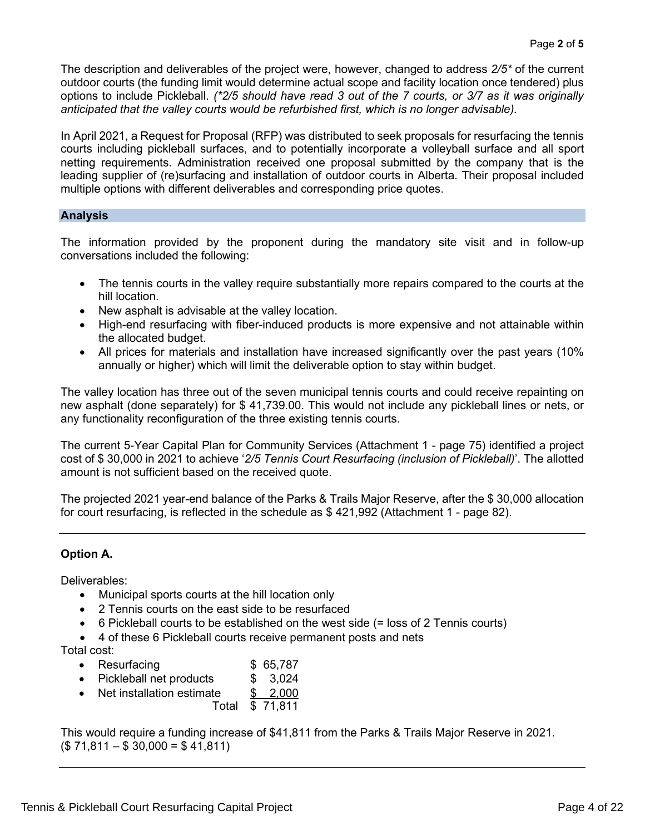The description and deliverables of the project were, however, changed to address *2/5\** of the current outdoor courts (the funding limit would determine actual scope and facility location once tendered) plus options to include Pickleball. *(\*2/5 should have read 3 out of the 7 courts, or 3/7 as it was originally anticipated that the valley courts would be refurbished first, which is no longer advisable).* 

In April 2021, a Request for Proposal (RFP) was distributed to seek proposals for resurfacing the tennis courts including pickleball surfaces, and to potentially incorporate a volleyball surface and all sport netting requirements. Administration received one proposal submitted by the company that is the leading supplier of (re)surfacing and installation of outdoor courts in Alberta. Their proposal included multiple options with different deliverables and corresponding price quotes.

## **Analysis**

The information provided by the proponent during the mandatory site visit and in follow-up conversations included the following:

- The tennis courts in the valley require substantially more repairs compared to the courts at the hill location.
- New asphalt is advisable at the valley location.
- High-end resurfacing with fiber-induced products is more expensive and not attainable within the allocated budget.
- All prices for materials and installation have increased significantly over the past years (10% annually or higher) which will limit the deliverable option to stay within budget.

The valley location has three out of the seven municipal tennis courts and could receive repainting on new asphalt (done separately) for \$ 41,739.00. This would not include any pickleball lines or nets, or any functionality reconfiguration of the three existing tennis courts.

The current 5-Year Capital Plan for Community Services (Attachment 1 - page 75) identified a project cost of \$ 30,000 in 2021 to achieve '*2/5 Tennis Court Resurfacing (inclusion of Pickleball)*'. The allotted amount is not sufficient based on the received quote.

The projected 2021 year-end balance of the Parks & Trails Major Reserve, after the \$ 30,000 allocation for court resurfacing, is reflected in the schedule as \$ 421,992 (Attachment 1 - page 82).

# **Option A.**

Deliverables:

- Municipal sports courts at the hill location only
- 2 Tennis courts on the east side to be resurfaced
- 6 Pickleball courts to be established on the west side (= loss of 2 Tennis courts)
- 4 of these 6 Pickleball courts receive permanent posts and nets

Total cost:

- Resurfacing **\$ 65,787**
- Pickleball net products \$ 3,024
- Net installation estimate \$ 2,000
- Total \$ 71,811

This would require a funding increase of \$41,811 from the Parks & Trails Major Reserve in 2021.  $($ 71,811 - $ 30,000 = $ 41,811)$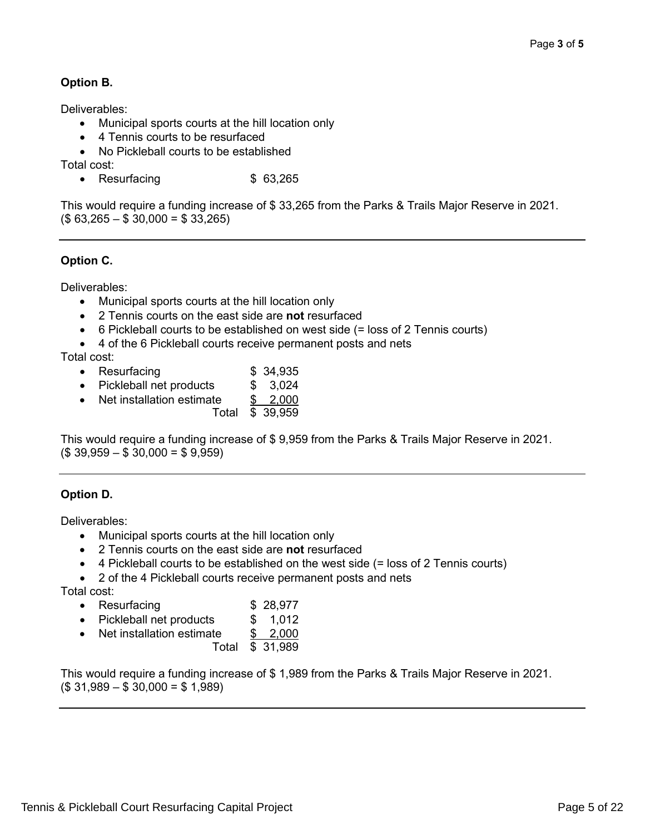# **Option B.**

Deliverables:

- Municipal sports courts at the hill location only
- 4 Tennis courts to be resurfaced
- No Pickleball courts to be established

Total cost:

• Resurfacing **\$ 63,265** 

This would require a funding increase of \$ 33,265 from the Parks & Trails Major Reserve in 2021.  $($63,265 - $30,000 = $33,265)$ 

# **Option C.**

Deliverables:

- Municipal sports courts at the hill location only
- 2 Tennis courts on the east side are **not** resurfaced
- 6 Pickleball courts to be established on west side (= loss of 2 Tennis courts)
- 4 of the 6 Pickleball courts receive permanent posts and nets

Total cost:

- Resurfacing **\$** 34,935
- Pickleball net products \$ 3,024
- Net installation estimate \$ 2,000
	- Total \$ 39,959

This would require a funding increase of \$ 9,959 from the Parks & Trails Major Reserve in 2021.  $($39,959 - $30,000 = $9,959)$ 

# **Option D.**

Deliverables:

- Municipal sports courts at the hill location only
- 2 Tennis courts on the east side are **not** resurfaced
- 4 Pickleball courts to be established on the west side (= loss of 2 Tennis courts)
- 2 of the 4 Pickleball courts receive permanent posts and nets

Total cost:

| Resurfacing |  |  | \$28,977 |
|-------------|--|--|----------|
|-------------|--|--|----------|

- Pickleball net products \$ 1,012
- Net installation estimate \$ 2,000
	- Total  $\overline{$}31,989$

This would require a funding increase of \$ 1,989 from the Parks & Trails Major Reserve in 2021.  $($31,989 - $30,000 = $1,989)$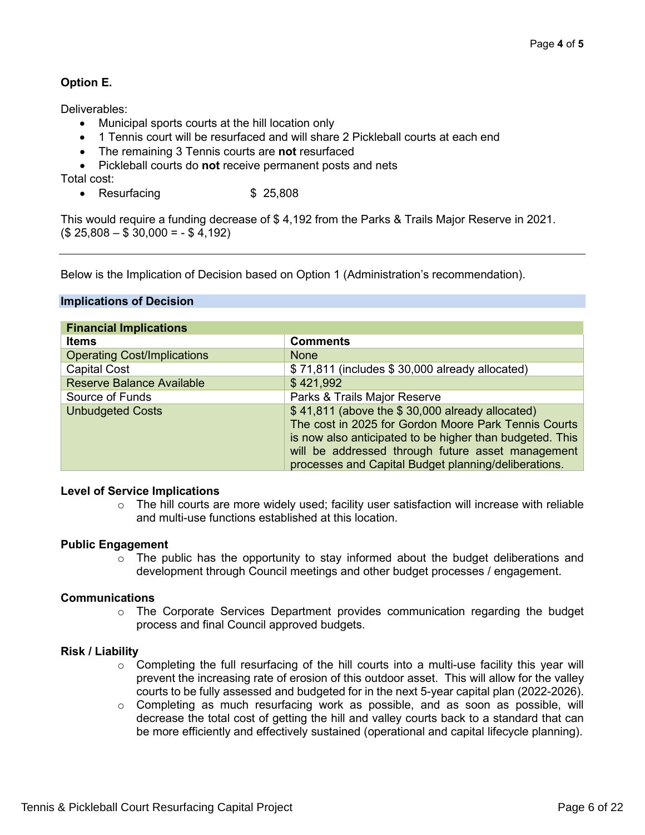# **Option E.**

Deliverables:

- Municipal sports courts at the hill location only
- 1 Tennis court will be resurfaced and will share 2 Pickleball courts at each end
- The remaining 3 Tennis courts are **not** resurfaced
- Pickleball courts do **not** receive permanent posts and nets

Total cost:

• Resurfacing **\$ 25,808** 

This would require a funding decrease of \$ 4,192 from the Parks & Trails Major Reserve in 2021.  $($25,808 - $30,000 = - $4,192)$ 

Below is the Implication of Decision based on Option 1 (Administration's recommendation).

# **Implications of Decision**

| <b>Financial Implications</b>      |                                                          |
|------------------------------------|----------------------------------------------------------|
| <b>Items</b>                       | <b>Comments</b>                                          |
| <b>Operating Cost/Implications</b> | <b>None</b>                                              |
| <b>Capital Cost</b>                | \$71,811 (includes \$30,000 already allocated)           |
| <b>Reserve Balance Available</b>   | \$421,992                                                |
| Source of Funds                    | Parks & Trails Major Reserve                             |
| <b>Unbudgeted Costs</b>            | \$41,811 (above the \$30,000 already allocated)          |
|                                    | The cost in 2025 for Gordon Moore Park Tennis Courts     |
|                                    | is now also anticipated to be higher than budgeted. This |
|                                    | will be addressed through future asset management        |
|                                    | processes and Capital Budget planning/deliberations.     |

#### **Level of Service Implications**

 $\circ$  The hill courts are more widely used; facility user satisfaction will increase with reliable and multi-use functions established at this location.

# **Public Engagement**

 $\circ$  The public has the opportunity to stay informed about the budget deliberations and development through Council meetings and other budget processes / engagement.

# **Communications**

 $\circ$  The Corporate Services Department provides communication regarding the budget process and final Council approved budgets.

# **Risk / Liability**

- $\circ$  Completing the full resurfacing of the hill courts into a multi-use facility this year will prevent the increasing rate of erosion of this outdoor asset. This will allow for the valley courts to be fully assessed and budgeted for in the next 5-year capital plan (2022-2026).
- o Completing as much resurfacing work as possible, and as soon as possible, will decrease the total cost of getting the hill and valley courts back to a standard that can be more efficiently and effectively sustained (operational and capital lifecycle planning).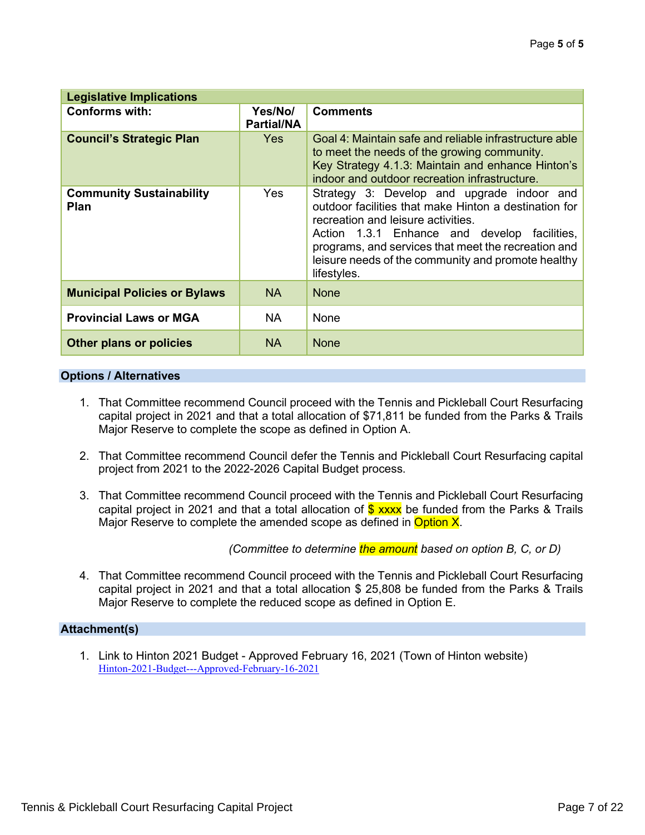| <b>Legislative Implications</b>                |                              |                                                                                                                                                                                                                                                                                                                       |  |  |  |  |  |  |
|------------------------------------------------|------------------------------|-----------------------------------------------------------------------------------------------------------------------------------------------------------------------------------------------------------------------------------------------------------------------------------------------------------------------|--|--|--|--|--|--|
| <b>Conforms with:</b>                          | Yes/No/<br><b>Partial/NA</b> | <b>Comments</b>                                                                                                                                                                                                                                                                                                       |  |  |  |  |  |  |
| <b>Council's Strategic Plan</b>                | Yes                          | Goal 4: Maintain safe and reliable infrastructure able<br>to meet the needs of the growing community.<br>Key Strategy 4.1.3: Maintain and enhance Hinton's<br>indoor and outdoor recreation infrastructure.                                                                                                           |  |  |  |  |  |  |
| <b>Community Sustainability</b><br><b>Plan</b> | Yes                          | Strategy 3: Develop and upgrade indoor and<br>outdoor facilities that make Hinton a destination for<br>recreation and leisure activities.<br>Action 1.3.1 Enhance and develop facilities,<br>programs, and services that meet the recreation and<br>leisure needs of the community and promote healthy<br>lifestyles. |  |  |  |  |  |  |
| <b>Municipal Policies or Bylaws</b>            | <b>NA</b>                    | <b>None</b>                                                                                                                                                                                                                                                                                                           |  |  |  |  |  |  |
| <b>Provincial Laws or MGA</b>                  | <b>NA</b>                    | None                                                                                                                                                                                                                                                                                                                  |  |  |  |  |  |  |
| <b>Other plans or policies</b>                 | <b>NA</b>                    | <b>None</b>                                                                                                                                                                                                                                                                                                           |  |  |  |  |  |  |

#### **Options / Alternatives**

- 1. That Committee recommend Council proceed with the Tennis and Pickleball Court Resurfacing capital project in 2021 and that a total allocation of \$71,811 be funded from the Parks & Trails Major Reserve to complete the scope as defined in Option A.
- 2. That Committee recommend Council defer the Tennis and Pickleball Court Resurfacing capital project from 2021 to the 2022-2026 Capital Budget process.
- 3. That Committee recommend Council proceed with the Tennis and Pickleball Court Resurfacing capital project in 2021 and that a total allocation of  $$$  xxxx be funded from the Parks & Trails Major Reserve to complete the amended scope as defined in Option X.

*(Committee to determine the amount based on option B, C, or D)*

4. That Committee recommend Council proceed with the Tennis and Pickleball Court Resurfacing capital project in 2021 and that a total allocation \$ 25,808 be funded from the Parks & Trails Major Reserve to complete the reduced scope as defined in Option E.

# **Attachment(s)**

1. Link to Hinton 2021 Budget - Approved February 16, 2021 (Town of Hinton website) [Hinton-2021-Budget---Approved-February-16-2021](https://www.hinton.ca/DocumentCenter/View/10054/Hinton-2021-Budget---Approved-February-16-2021)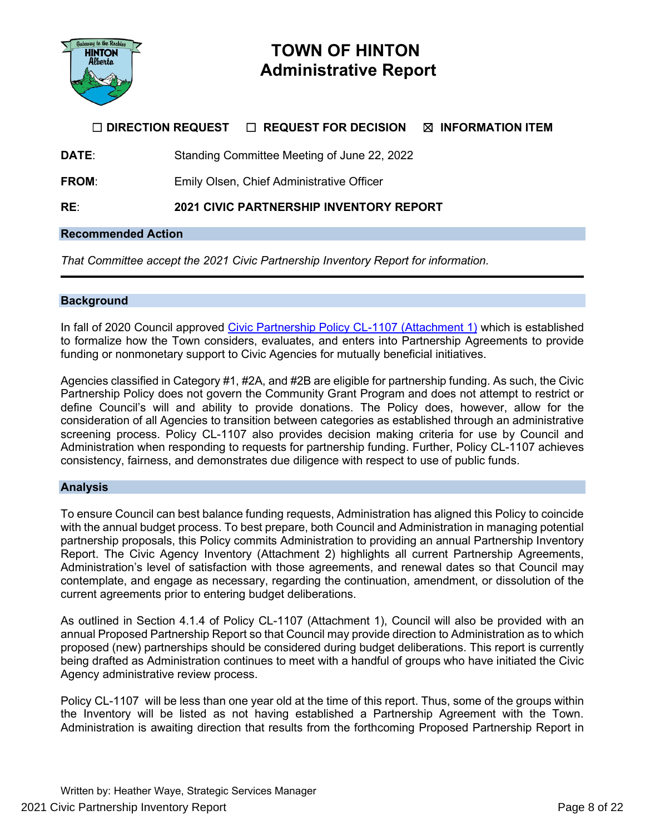

# **TOWN OF HINTON Administrative Report**

# ☐ **DIRECTION REQUEST** ☐ **REQUEST FOR DECISION** ☒ **INFORMATION ITEM**

**DATE:** Standing Committee Meeting of June 22, 2022

**FROM:** Emily Olsen, Chief Administrative Officer

**RE**: **2021 CIVIC PARTNERSHIP INVENTORY REPORT**

#### **Recommended Action**

*That Committee accept the 2021 Civic Partnership Inventory Report for information.*

#### **Background**

In fall of 2020 Council approved [Civic Partnership Policy CL-1107 \(Attachment 1\)](https://www.hinton.ca/DocumentCenter/View/9801/Policy-CL-1107-Civic-partnership-policy) which is established to formalize how the Town considers, evaluates, and enters into Partnership Agreements to provide funding or nonmonetary support to Civic Agencies for mutually beneficial initiatives.

Agencies classified in Category #1, #2A, and #2B are eligible for partnership funding. As such, the Civic Partnership Policy does not govern the Community Grant Program and does not attempt to restrict or define Council's will and ability to provide donations. The Policy does, however, allow for the consideration of all Agencies to transition between categories as established through an administrative screening process. Policy CL-1107 also provides decision making criteria for use by Council and Administration when responding to requests for partnership funding. Further, Policy CL-1107 achieves consistency, fairness, and demonstrates due diligence with respect to use of public funds.

#### **Analysis**

To ensure Council can best balance funding requests, Administration has aligned this Policy to coincide with the annual budget process. To best prepare, both Council and Administration in managing potential partnership proposals, this Policy commits Administration to providing an annual Partnership Inventory Report. The Civic Agency Inventory (Attachment 2) highlights all current Partnership Agreements, Administration's level of satisfaction with those agreements, and renewal dates so that Council may contemplate, and engage as necessary, regarding the continuation, amendment, or dissolution of the current agreements prior to entering budget deliberations.

As outlined in Section 4.1.4 of Policy CL-1107 (Attachment 1), Council will also be provided with an annual Proposed Partnership Report so that Council may provide direction to Administration as to which proposed (new) partnerships should be considered during budget deliberations. This report is currently being drafted as Administration continues to meet with a handful of groups who have initiated the Civic Agency administrative review process.

Policy CL-1107 will be less than one year old at the time of this report. Thus, some of the groups within the Inventory will be listed as not having established a Partnership Agreement with the Town. Administration is awaiting direction that results from the forthcoming Proposed Partnership Report in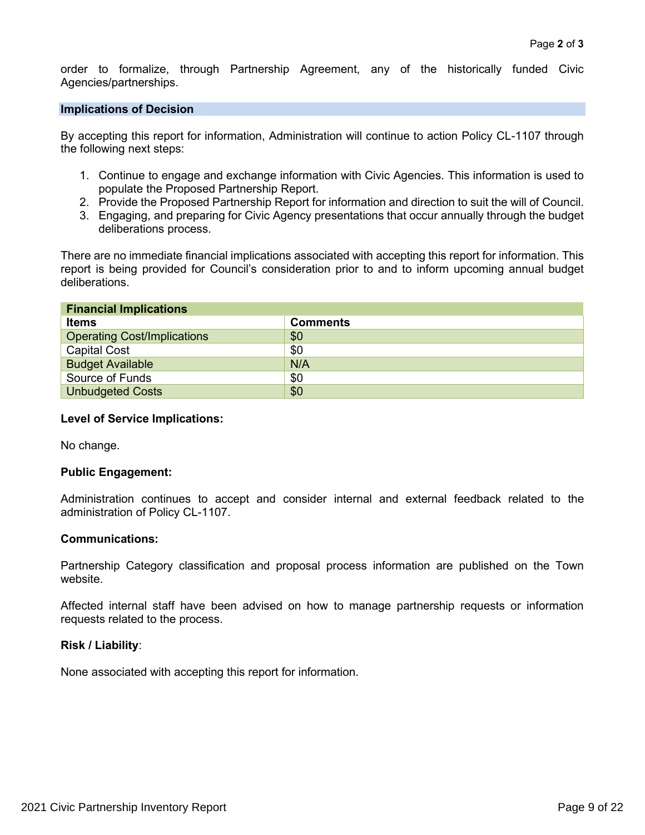order to formalize, through Partnership Agreement, any of the historically funded Civic Agencies/partnerships.

#### **Implications of Decision**

By accepting this report for information, Administration will continue to action Policy CL-1107 through the following next steps:

- 1. Continue to engage and exchange information with Civic Agencies. This information is used to populate the Proposed Partnership Report.
- 2. Provide the Proposed Partnership Report for information and direction to suit the will of Council.
- 3. Engaging, and preparing for Civic Agency presentations that occur annually through the budget deliberations process.

There are no immediate financial implications associated with accepting this report for information. This report is being provided for Council's consideration prior to and to inform upcoming annual budget deliberations.

| <b>Financial Implications</b>      |                 |  |  |  |  |  |  |  |  |
|------------------------------------|-----------------|--|--|--|--|--|--|--|--|
| <b>Items</b>                       | <b>Comments</b> |  |  |  |  |  |  |  |  |
| <b>Operating Cost/Implications</b> | \$0             |  |  |  |  |  |  |  |  |
| <b>Capital Cost</b>                | \$0             |  |  |  |  |  |  |  |  |
| <b>Budget Available</b>            | N/A             |  |  |  |  |  |  |  |  |
| Source of Funds                    | \$0             |  |  |  |  |  |  |  |  |
| <b>Unbudgeted Costs</b>            | \$0             |  |  |  |  |  |  |  |  |

#### **Level of Service Implications:**

No change.

#### **Public Engagement:**

Administration continues to accept and consider internal and external feedback related to the administration of Policy CL-1107.

#### **Communications:**

Partnership Category classification and proposal process information are published on the Town website.

Affected internal staff have been advised on how to manage partnership requests or information requests related to the process.

#### **Risk / Liability**:

None associated with accepting this report for information.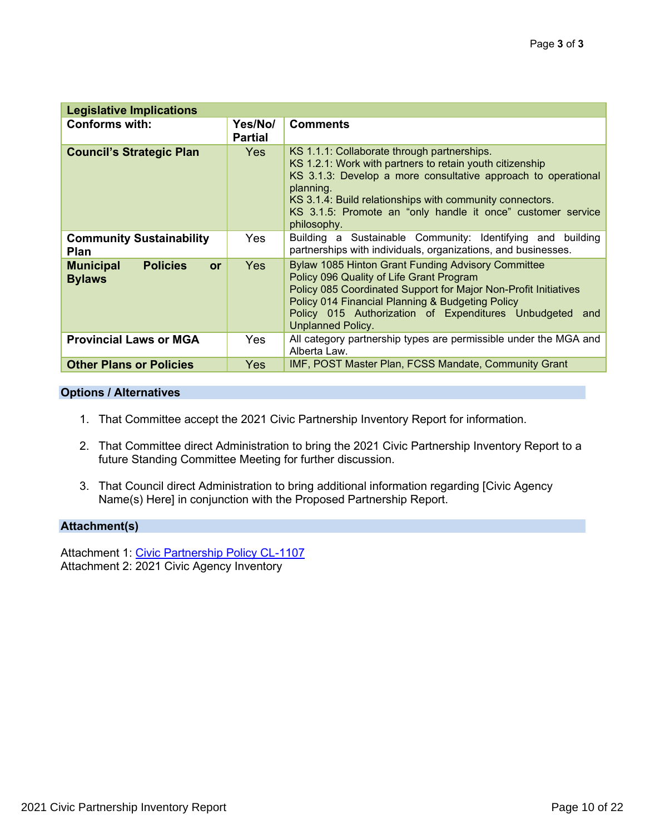| <b>Legislative Implications</b>                            |                           |                                                                                                                                                                                                                                                                                                                                 |  |  |  |  |  |
|------------------------------------------------------------|---------------------------|---------------------------------------------------------------------------------------------------------------------------------------------------------------------------------------------------------------------------------------------------------------------------------------------------------------------------------|--|--|--|--|--|
| <b>Conforms with:</b>                                      | Yes/No/<br><b>Partial</b> | <b>Comments</b>                                                                                                                                                                                                                                                                                                                 |  |  |  |  |  |
| <b>Council's Strategic Plan</b>                            | Yes                       | KS 1.1.1: Collaborate through partnerships.<br>KS 1.2.1: Work with partners to retain youth citizenship<br>KS 3.1.3: Develop a more consultative approach to operational<br>planning.<br>KS 3.1.4: Build relationships with community connectors.<br>KS 3.1.5: Promote an "only handle it once" customer service<br>philosophy. |  |  |  |  |  |
| <b>Community Sustainability</b><br>Plan                    | Yes.                      | Building a Sustainable Community: Identifying and building<br>partnerships with individuals, organizations, and businesses.                                                                                                                                                                                                     |  |  |  |  |  |
| <b>Policies</b><br><b>Municipal</b><br>or<br><b>Bylaws</b> | Yes                       | <b>Bylaw 1085 Hinton Grant Funding Advisory Committee</b><br>Policy 096 Quality of Life Grant Program<br>Policy 085 Coordinated Support for Major Non-Profit Initiatives<br>Policy 014 Financial Planning & Budgeting Policy<br>Policy 015 Authorization of Expenditures Unbudgeted and<br><b>Unplanned Policy.</b>             |  |  |  |  |  |
| <b>Provincial Laws or MGA</b>                              | Yes                       | All category partnership types are permissible under the MGA and<br>Alberta Law.                                                                                                                                                                                                                                                |  |  |  |  |  |
| <b>Other Plans or Policies</b>                             | Yes                       | IMF, POST Master Plan, FCSS Mandate, Community Grant                                                                                                                                                                                                                                                                            |  |  |  |  |  |

#### **Options / Alternatives**

- 1. That Committee accept the 2021 Civic Partnership Inventory Report for information.
- 2. That Committee direct Administration to bring the 2021 Civic Partnership Inventory Report to a future Standing Committee Meeting for further discussion.
- 3. That Council direct Administration to bring additional information regarding [Civic Agency Name(s) Here] in conjunction with the Proposed Partnership Report.

#### **Attachment(s)**

Attachment 1: [Civic Partnership Policy CL-1107](https://www.hinton.ca/DocumentCenter/View/9801/Policy-CL-1107-Civic-partnership-policy) Attachment 2: 2021 Civic Agency Inventory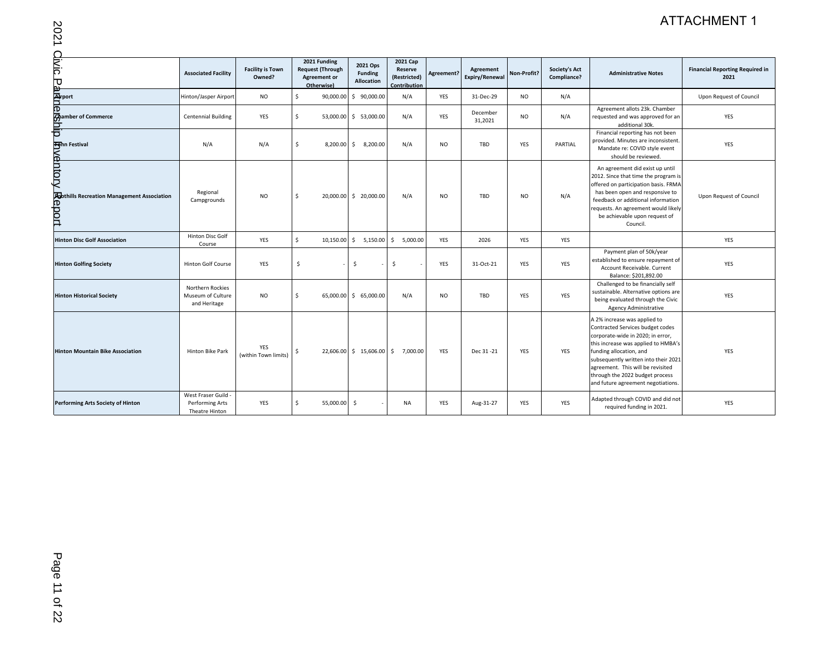# ATTACHMENT 1

|                                                                                                       |                                                          |                                   |                                                                              |                                                 |                                                     |            |                             |             |                                     |                                                                                                                                                                                                                                                                                                                               | <b>ATTACHMENT 1</b>                            |
|-------------------------------------------------------------------------------------------------------|----------------------------------------------------------|-----------------------------------|------------------------------------------------------------------------------|-------------------------------------------------|-----------------------------------------------------|------------|-----------------------------|-------------|-------------------------------------|-------------------------------------------------------------------------------------------------------------------------------------------------------------------------------------------------------------------------------------------------------------------------------------------------------------------------------|------------------------------------------------|
| 2021                                                                                                  |                                                          |                                   |                                                                              |                                                 |                                                     |            |                             |             |                                     |                                                                                                                                                                                                                                                                                                                               |                                                |
| Oivic                                                                                                 | <b>Associated Facility</b>                               | <b>Facility is Town</b><br>Owned? | 2021 Funding<br><b>Request (Through</b><br><b>Agreement or</b><br>Otherwise) | 2021 Ops<br><b>Funding</b><br><b>Allocation</b> | 2021 Cap<br>Reserve<br>(Restricted)<br>Contribution | Agreement? | Agreement<br>Expiry/Renewal | Non-Profit? | <b>Society's Act</b><br>Compliance? | <b>Administrative Notes</b>                                                                                                                                                                                                                                                                                                   | <b>Financial Reporting Required in</b><br>2021 |
| pak<br>Pakin<br>Dan                                                                                   | Hinton/Jasper Airport                                    | <b>NO</b>                         | 90,000.00<br>Ŝ.                                                              | \$90,000.00                                     | N/A                                                 | YES        | 31-Dec-29                   | <b>NO</b>   | N/A                                 |                                                                                                                                                                                                                                                                                                                               | Upon Request of Council                        |
| ල<br>ශ්කෝනය (Commerce                                                                                 | <b>Centennial Building</b>                               | <b>YES</b>                        | \$                                                                           | 53,000.00 \$ 53,000.00                          | N/A                                                 | YES        | December<br>31,2021         | <b>NO</b>   | N/A                                 | Agreement allots 23k. Chamber<br>requested and was approved for an<br>additional 30k.                                                                                                                                                                                                                                         | <b>YES</b>                                     |
| <u>iar</u>                                                                                            | N/A                                                      | N/A                               | Ŝ.<br>8,200.00                                                               | $\mathsf{S}$<br>8,200.00                        | N/A                                                 | <b>NO</b>  | TBD                         | <b>YES</b>  | PARTIAL                             | Financial reporting has not been<br>provided. Minutes are inconsistent<br>Mandate re: COVID style event<br>should be reviewed.                                                                                                                                                                                                | YES                                            |
| <b>Falm Festival</b><br><b>COLOR</b><br><b>Po</b> bthills Recreation Management Association<br>teport | Regional<br>Campgrounds                                  | <b>NO</b>                         | Ŝ.                                                                           | 20,000.00 \$ 20,000.00                          | N/A                                                 | NO.        | TBD                         | NO.         | N/A                                 | An agreement did exist up until<br>2012. Since that time the program is<br>offered on participation basis. FRMA<br>has been open and responsive to<br>feedback or additional information<br>requests. An agreement would likely<br>be achievable upon request of<br>Council.                                                  | Upon Request of Council                        |
| <b>Hinton Disc Golf Association</b>                                                                   | Hinton Disc Golf<br>Course                               | YES                               | \$<br>10,150.00                                                              | \$5,150.00                                      | \$5,000.00                                          | YES        | 2026                        | <b>YES</b>  | YES                                 |                                                                                                                                                                                                                                                                                                                               | YES                                            |
| <b>Hinton Golfing Society</b>                                                                         | <b>Hinton Golf Course</b>                                | <b>YES</b>                        | \$                                                                           | \$                                              | $\ddot{\mathsf{S}}$                                 | <b>YES</b> | 31-Oct-21                   | <b>YES</b>  | <b>YES</b>                          | Payment plan of 50k/year<br>established to ensure repayment of<br>Account Receivable, Current<br>Balance: \$201,892.00                                                                                                                                                                                                        | YES                                            |
| <b>Hinton Historical Society</b>                                                                      | Northern Rockies<br>Museum of Culture<br>and Heritage    | <b>NO</b>                         | Ŝ.                                                                           | 65,000.00 \$ 65,000.00                          | N/A                                                 | <b>NO</b>  | TBD                         | YES         | YES                                 | Challenged to be financially self<br>sustainable. Alternative options are<br>being evaluated through the Civic<br><b>Agency Administrative</b>                                                                                                                                                                                | YES                                            |
| <b>Hinton Mountain Bike Association</b>                                                               | <b>Hinton Bike Park</b>                                  | YES<br>(within Town limits)       | Ŝ                                                                            | 22,606.00 \$ 15,606.00 \$ 7,000.00              |                                                     | <b>YES</b> | Dec 31-21                   | <b>YES</b>  | <b>YES</b>                          | A 2% increase was applied to<br>Contracted Services budget codes<br>corporate-wide in 2020; in error,<br>this increase was applied to HMBA's<br>funding allocation, and<br>subsequently written into their 2021<br>agreement. This will be revisited<br>through the 2022 budget process<br>and future agreement negotiations. | <b>YES</b>                                     |
| Performing Arts Society of Hinton                                                                     | West Fraser Guild -<br>Performing Arts<br>Theatre Hinton | YES                               | \$<br>55,000.00                                                              | $\ddot{s}$                                      | <b>NA</b>                                           | YES        | Aug-31-27                   | YES         | YES                                 | Adapted through COVID and did not<br>required funding in 2021.                                                                                                                                                                                                                                                                | YES                                            |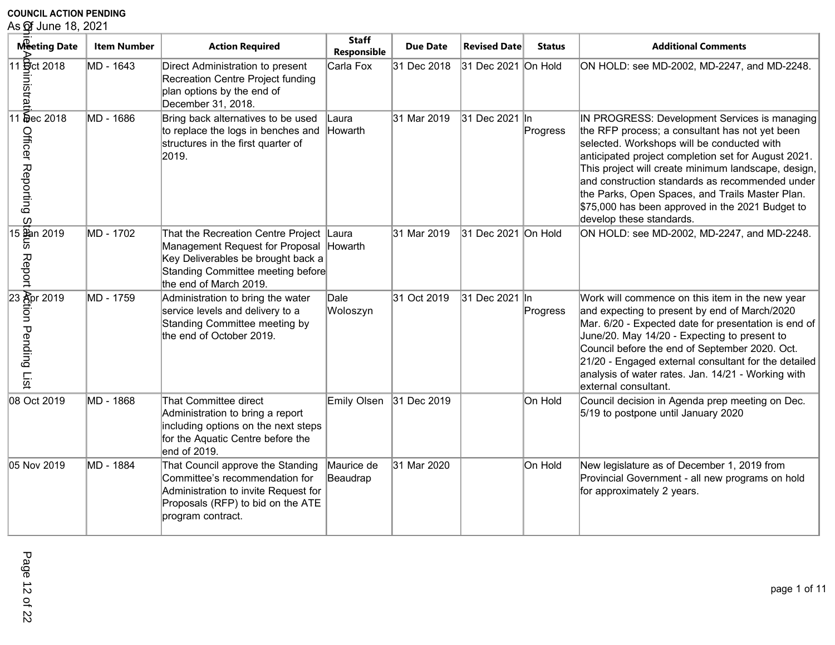# **COUNCIL ACTION PENDING<br>As <b>o**f June 18, 2021

| As of June 18, 2021                                                                                                                                                                                                                                                                                                                                                             |                    |                                                                                                                                                                            |                             |                 |                     |               |                                                                                                                                                                                                                                                                                                                                                                                                                                                   |
|---------------------------------------------------------------------------------------------------------------------------------------------------------------------------------------------------------------------------------------------------------------------------------------------------------------------------------------------------------------------------------|--------------------|----------------------------------------------------------------------------------------------------------------------------------------------------------------------------|-----------------------------|-----------------|---------------------|---------------|---------------------------------------------------------------------------------------------------------------------------------------------------------------------------------------------------------------------------------------------------------------------------------------------------------------------------------------------------------------------------------------------------------------------------------------------------|
| Meeting Date                                                                                                                                                                                                                                                                                                                                                                    | <b>Item Number</b> | <b>Action Required</b>                                                                                                                                                     | <b>Staff</b><br>Responsible | <b>Due Date</b> | <b>Revised Date</b> | <b>Status</b> | <b>Additional Comments</b>                                                                                                                                                                                                                                                                                                                                                                                                                        |
| 11 <b>g</b> ct 2018<br>$\frac{1}{2}$<br>$\frac{1}{2}$<br>$\frac{1}{2}$<br>$\frac{1}{2}$<br>$\frac{1}{2}$<br>$\frac{1}{2}$<br>$\frac{1}{2}$<br>$\frac{1}{2}$<br>$\frac{1}{2}$<br>$\frac{1}{2}$<br>$\frac{1}{2}$<br><br>$\frac{1}{2}$<br><br><br><br><br><br><br><br><br><br><br><br><br><br><br><br><br><br><br><br><br><br><br><br><br><br><br><br><br><br><br><br><br><br><br> | MD - 1643          | Direct Administration to present<br>Recreation Centre Project funding<br>plan options by the end of<br>December 31, 2018.                                                  | Carla Fox                   | 31 Dec 2018     | 31 Dec 2021 On Hold |               | ON HOLD: see MD-2002, MD-2247, and MD-2248.                                                                                                                                                                                                                                                                                                                                                                                                       |
| Officer Reporting<br>$\omega$                                                                                                                                                                                                                                                                                                                                                   | MD - 1686          | Bring back alternatives to be used<br>to replace the logs in benches and<br>structures in the first quarter of<br>2019.                                                    | Laura<br>Howarth            | 31 Mar 2019     | 31 Dec 2021 In      | Progress      | IN PROGRESS: Development Services is managing<br>the RFP process; a consultant has not yet been<br>selected. Workshops will be conducted with<br>anticipated project completion set for August 2021.<br>This project will create minimum landscape, design,<br>and construction standards as recommended under<br>the Parks, Open Spaces, and Trails Master Plan.<br>\$75,000 has been approved in the 2021 Budget to<br>develop these standards. |
| 15 Ban 2019<br>5<br>Report                                                                                                                                                                                                                                                                                                                                                      | MD - 1702          | That the Recreation Centre Project<br>Management Request for Proposal<br>Key Deliverables be brought back a<br>Standing Committee meeting before<br>the end of March 2019. | Laura<br>Howarth            | 31 Mar 2019     | 31 Dec 2021 On Hold |               | ON HOLD: see MD-2002, MD-2247, and MD-2248.                                                                                                                                                                                                                                                                                                                                                                                                       |
| 23 Apr 2019<br>ion Pending List                                                                                                                                                                                                                                                                                                                                                 | MD - 1759          | Administration to bring the water<br>service levels and delivery to a<br>Standing Committee meeting by<br>the end of October 2019.                                         | Dale<br>Woloszyn            | 31 Oct 2019     | 31 Dec 2021 In      | Progress      | Work will commence on this item in the new year<br>and expecting to present by end of March/2020<br>Mar. 6/20 - Expected date for presentation is end of<br>June/20. May 14/20 - Expecting to present to<br>Council before the end of September 2020. Oct.<br>21/20 - Engaged external consultant for the detailed<br>analysis of water rates. Jan. 14/21 - Working with<br>external consultant.                                                  |
| 08 Oct 2019                                                                                                                                                                                                                                                                                                                                                                     | MD - 1868          | That Committee direct<br>Administration to bring a report<br>including options on the next steps<br>for the Aquatic Centre before the<br>end of 2019.                      | Emily Olsen 31 Dec 2019     |                 |                     | On Hold       | Council decision in Agenda prep meeting on Dec.<br>5/19 to postpone until January 2020                                                                                                                                                                                                                                                                                                                                                            |
| 05 Nov 2019                                                                                                                                                                                                                                                                                                                                                                     | MD - 1884          | That Council approve the Standing<br>Committee's recommendation for<br>Administration to invite Request for<br>Proposals (RFP) to bid on the ATE<br>program contract.      | Maurice de<br>Beaudrap      | 31 Mar 2020     |                     | On Hold       | New legislature as of December 1, 2019 from<br>Provincial Government - all new programs on hold<br>for approximately 2 years.                                                                                                                                                                                                                                                                                                                     |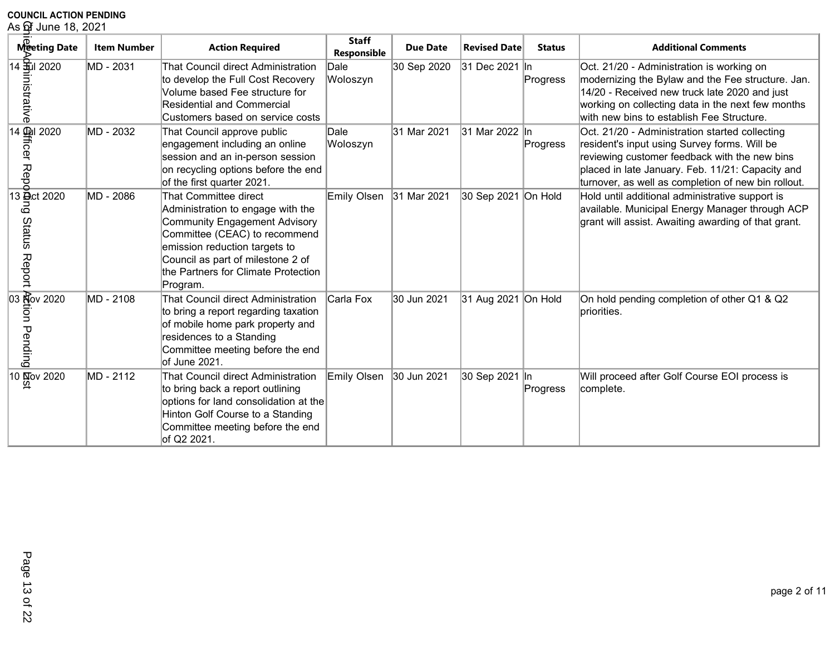| As of June 18, 2021                           |                    |                                                                                                                                                                                                                                                              |                             |                 |                     |               |                                                                                                                                                                                                                                                            |  |  |
|-----------------------------------------------|--------------------|--------------------------------------------------------------------------------------------------------------------------------------------------------------------------------------------------------------------------------------------------------------|-----------------------------|-----------------|---------------------|---------------|------------------------------------------------------------------------------------------------------------------------------------------------------------------------------------------------------------------------------------------------------------|--|--|
| Meeting Date                                  | <b>Item Number</b> | <b>Action Required</b>                                                                                                                                                                                                                                       | <b>Staff</b><br>Responsible | <b>Due Date</b> | <b>Revised Date</b> | <b>Status</b> | <b>Additional Comments</b>                                                                                                                                                                                                                                 |  |  |
| 14 Stul 2020<br>istrative                     | MD - 2031          | That Council direct Administration<br>to develop the Full Cost Recovery<br>Volume based Fee structure for<br><b>Residential and Commercial</b><br>Customers based on service costs                                                                           | Dale<br>Woloszyn            | 30 Sep 2020     | 31 Dec 2021 In      | Progress      | Oct. 21/20 - Administration is working on<br>modernizing the Bylaw and the Fee structure. Jan.<br>14/20 - Received new truck late 2020 and just<br>working on collecting data in the next few months<br>with new bins to establish Fee Structure.          |  |  |
| 14 Qui 2020<br>ficer Repo                     | MD - 2032          | That Council approve public<br>engagement including an online<br>session and an in-person session<br>on recycling options before the end<br>of the first quarter 2021.                                                                                       | Dale<br>Woloszyn            | 31 Mar 2021     | 31 Mar 2022 In      | Progress      | Oct. 21/20 - Administration started collecting<br>resident's input using Survey forms. Will be<br>reviewing customer feedback with the new bins<br>placed in late January. Feb. 11/21: Capacity and<br>turnover, as well as completion of new bin rollout. |  |  |
| 13 <b>D</b> .ct 2020<br>ō<br>Status<br>Report | MD - 2086          | That Committee direct<br>Administration to engage with the<br><b>Community Engagement Advisory</b><br>Committee (CEAC) to recommend<br>emission reduction targets to<br>Council as part of milestone 2 of<br>the Partners for Climate Protection<br>Program. | <b>Emily Olsen</b>          | 31 Mar 2021     | 30 Sep 2021 On Hold |               | Hold until additional administrative support is<br>available. Municipal Energy Manager through ACP<br>grant will assist. Awaiting awarding of that grant.                                                                                                  |  |  |
| 03 Nov 2020<br>tion Pending                   | MD - 2108          | That Council direct Administration<br>to bring a report regarding taxation<br>of mobile home park property and<br>residences to a Standing<br>Committee meeting before the end<br>of June 2021.                                                              | Carla Fox                   | 30 Jun 2021     | 31 Aug 2021 On Hold |               | On hold pending completion of other Q1 & Q2<br>priorities.                                                                                                                                                                                                 |  |  |
| $10 \frac{\text{N}}{\text{Q}}$ ov 2020        | MD - 2112          | That Council direct Administration<br>to bring back a report outlining<br>options for land consolidation at the<br>Hinton Golf Course to a Standing<br>Committee meeting before the end<br>of Q2 2021.                                                       | <b>Emily Olsen</b>          | 30 Jun 2021     | 30 Sep 2021 In      | Progress      | Will proceed after Golf Course EOI process is<br>complete.                                                                                                                                                                                                 |  |  |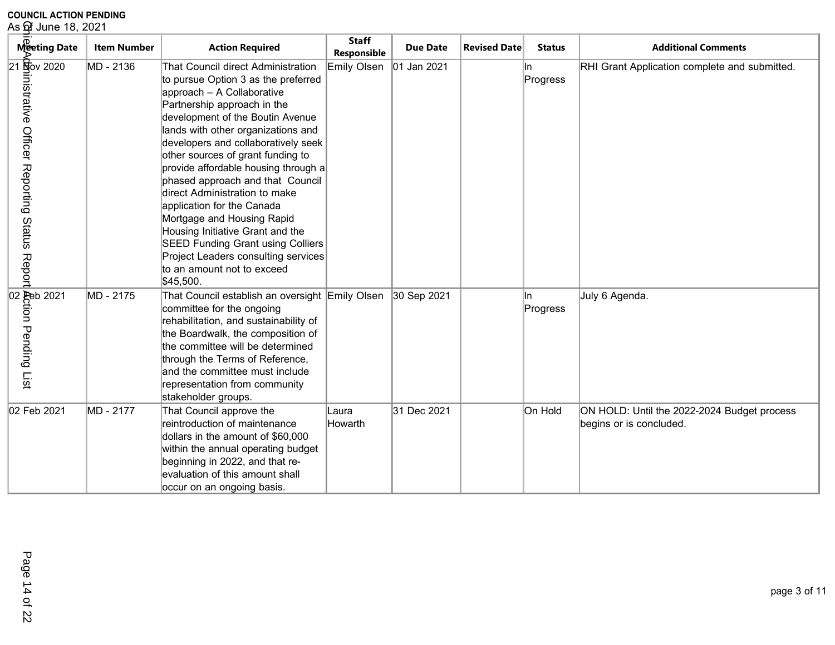| As of June 18, 2021                                                                                                                                                                            |                    |                                                                                                                                                                                                                                                                                                                                                                                                                                                                                                                                                                                                                                         |                             |                 |                     |                 |                                                                        |
|------------------------------------------------------------------------------------------------------------------------------------------------------------------------------------------------|--------------------|-----------------------------------------------------------------------------------------------------------------------------------------------------------------------------------------------------------------------------------------------------------------------------------------------------------------------------------------------------------------------------------------------------------------------------------------------------------------------------------------------------------------------------------------------------------------------------------------------------------------------------------------|-----------------------------|-----------------|---------------------|-----------------|------------------------------------------------------------------------|
| Meeting Date                                                                                                                                                                                   | <b>Item Number</b> | <b>Action Required</b>                                                                                                                                                                                                                                                                                                                                                                                                                                                                                                                                                                                                                  | <b>Staff</b><br>Responsible | <b>Due Date</b> | <b>Revised Date</b> | <b>Status</b>   | <b>Additional Comments</b>                                             |
| $21\frac{6}{20}$ ov 2020<br>nistrative Officer Reporting Status Report                                                                                                                         | MD - 2136          | That Council direct Administration<br>to pursue Option 3 as the preferred<br>approach - A Collaborative<br>Partnership approach in the<br>development of the Boutin Avenue<br>lands with other organizations and<br>developers and collaboratively seek<br>other sources of grant funding to<br>provide affordable housing through a<br>phased approach and that Council<br>direct Administration to make<br>application for the Canada<br>Mortgage and Housing Rapid<br>Housing Initiative Grant and the<br><b>SEED Funding Grant using Colliers</b><br>Project Leaders consulting services<br>to an amount not to exceed<br>\$45,500. | <b>Emily Olsen</b>          | 01 Jan 2021     |                     | In.<br>Progress | RHI Grant Application complete and submitted.                          |
| not de discripto de la contrada del 2021<br>Denombre de la contrada del 2021<br>De la contrada de la contrada de la contrada de la contrada de la contrada de la contrada de la contrada de la | MD - 2175          | That Council establish an oversight Emily Olsen<br>committee for the ongoing<br>rehabilitation, and sustainability of<br>the Boardwalk, the composition of<br>the committee will be determined<br>through the Terms of Reference,<br>and the committee must include<br>representation from community<br>stakeholder groups.                                                                                                                                                                                                                                                                                                             |                             | 30 Sep 2021     |                     | ln.<br>Progress | July 6 Agenda.                                                         |
| 02 Feb 2021                                                                                                                                                                                    | MD - 2177          | That Council approve the<br>reintroduction of maintenance<br>dollars in the amount of \$60,000<br>within the annual operating budget<br>beginning in 2022, and that re-<br>evaluation of this amount shall<br>occur on an ongoing basis.                                                                                                                                                                                                                                                                                                                                                                                                | Laura<br>Howarth            | 31 Dec 2021     |                     | On Hold         | ON HOLD: Until the 2022-2024 Budget process<br>begins or is concluded. |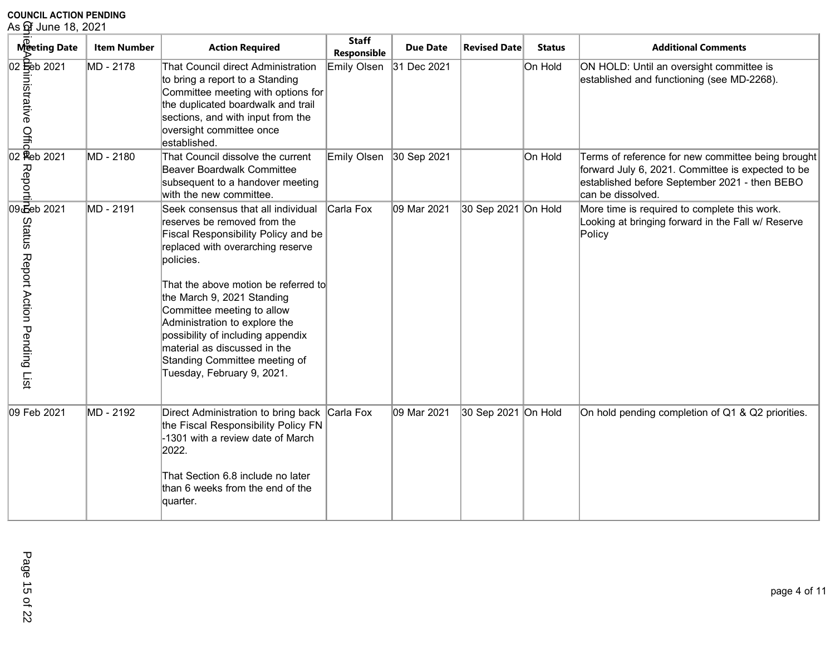| As <b>o</b> f June 18, 2021                                                                                                                                                                                                          |                    |                                                                                                                                                                                                                                                                                                                                                                                                                                             |                             |                 |                     |               |                                                                                                                                                                               |
|--------------------------------------------------------------------------------------------------------------------------------------------------------------------------------------------------------------------------------------|--------------------|---------------------------------------------------------------------------------------------------------------------------------------------------------------------------------------------------------------------------------------------------------------------------------------------------------------------------------------------------------------------------------------------------------------------------------------------|-----------------------------|-----------------|---------------------|---------------|-------------------------------------------------------------------------------------------------------------------------------------------------------------------------------|
| Meeting Date                                                                                                                                                                                                                         | <b>Item Number</b> | <b>Action Required</b>                                                                                                                                                                                                                                                                                                                                                                                                                      | <b>Staff</b><br>Responsible | <b>Due Date</b> | <b>Revised Date</b> | <b>Status</b> | <b>Additional Comments</b>                                                                                                                                                    |
| 02 Seb 2021<br>nistrative<br>$\frac{9}{2}$<br>$\frac{3}{2}$<br>$\frac{1}{2}$<br>$\frac{1}{2}$<br>$\frac{1}{2}$<br>$\frac{1}{2}$<br><br>$\frac{1}{2}$<br><br><br><br><br><br><br><br><br><br><br><br><br><br><br><br><br><br><br><br> | MD - 2178          | That Council direct Administration<br>to bring a report to a Standing<br>Committee meeting with options for<br>the duplicated boardwalk and trail<br>sections, and with input from the<br>oversight committee once<br>established.                                                                                                                                                                                                          | Emily Olsen                 | 31 Dec 2021     |                     | On Hold       | ON HOLD: Until an oversight committee is<br>established and functioning (see MD-2268).                                                                                        |
| Reporti                                                                                                                                                                                                                              | MD - 2180          | That Council dissolve the current<br><b>Beaver Boardwalk Committee</b><br>subsequent to a handover meeting<br>with the new committee.                                                                                                                                                                                                                                                                                                       | Emily Olsen                 | 30 Sep 2021     |                     | On Hold       | Terms of reference for new committee being brought<br>forward July 6, 2021. Committee is expected to be<br>established before September 2021 - then BEBO<br>can be dissolved. |
| 09 Beb 2021<br>Status Report Action Pending<br>List                                                                                                                                                                                  | MD - 2191          | Seek consensus that all individual<br>reserves be removed from the<br><b>Fiscal Responsibility Policy and be</b><br>replaced with overarching reserve<br>policies.<br>That the above motion be referred to<br>the March 9, 2021 Standing<br>Committee meeting to allow<br>Administration to explore the<br>possibility of including appendix<br>material as discussed in the<br>Standing Committee meeting of<br>Tuesday, February 9, 2021. | Carla Fox                   | 09 Mar 2021     | 30 Sep 2021 On Hold |               | More time is required to complete this work.<br>Looking at bringing forward in the Fall w/ Reserve<br>Policy                                                                  |
| 09 Feb 2021                                                                                                                                                                                                                          | MD - 2192          | Direct Administration to bring back<br>the Fiscal Responsibility Policy FN<br>-1301 with a review date of March<br>2022.<br>That Section 6.8 include no later<br>than 6 weeks from the end of the<br>quarter.                                                                                                                                                                                                                               | Carla Fox                   | 09 Mar 2021     | 30 Sep 2021 On Hold |               | On hold pending completion of Q1 & Q2 priorities.                                                                                                                             |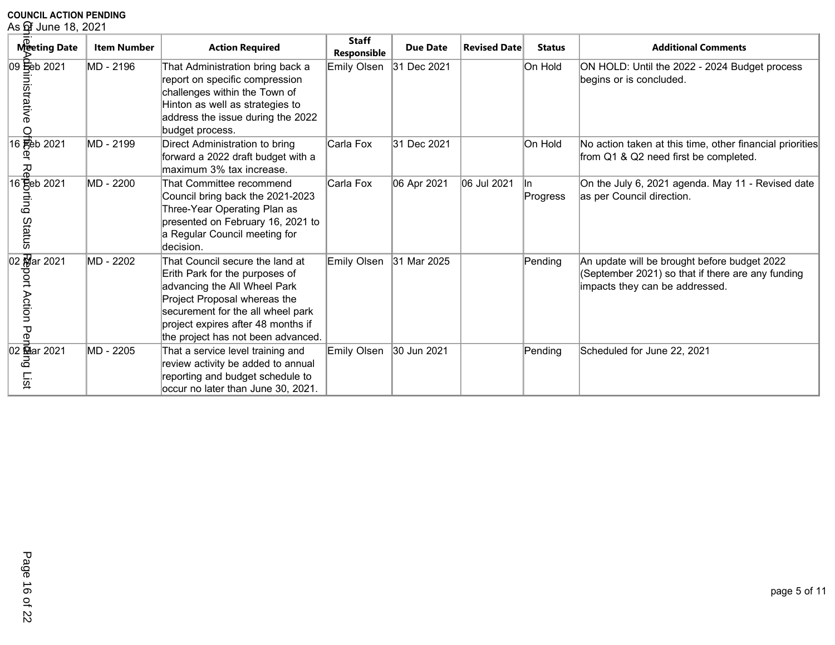# **COUNCIL ACTION PENDING**<br>As ଫି June 18, 2021

| As of June 18, 2021             |                    |                                                                                                                                                                                                                                                    |                             |                 |                     |                  |                                                                                                                                     |
|---------------------------------|--------------------|----------------------------------------------------------------------------------------------------------------------------------------------------------------------------------------------------------------------------------------------------|-----------------------------|-----------------|---------------------|------------------|-------------------------------------------------------------------------------------------------------------------------------------|
| Meeting Date                    | <b>Item Number</b> | <b>Action Required</b>                                                                                                                                                                                                                             | <b>Staff</b><br>Responsible | <b>Due Date</b> | <b>Revised Date</b> | <b>Status</b>    | <b>Additional Comments</b>                                                                                                          |
| 09 Feb 2021<br>histrative       | MD - 2196          | That Administration bring back a<br>report on specific compression<br>challenges within the Town of<br>Hinton as well as strategies to<br>address the issue during the 2022<br>budget process.                                                     | Emily Olsen                 | 31 Dec 2021     |                     | On Hold          | ON HOLD: Until the 2022 - 2024 Budget process<br>begins or is concluded.                                                            |
| 16 Feb 2021<br>观                | MD - 2199          | Direct Administration to bring<br>forward a 2022 draft budget with a<br>maximum 3% tax increase.                                                                                                                                                   | Carla Fox                   | 31 Dec 2021     |                     | On Hold          | No action taken at this time, other financial priorities<br>from Q1 & Q2 need first be completed.                                   |
| 16 Beb 2021<br>fing<br>Status   | MD - 2200          | That Committee recommend<br>Council bring back the 2021-2023<br>Three-Year Operating Plan as<br>presented on February 16, 2021 to<br>a Regular Council meeting for<br>decision.                                                                    | Carla Fox                   | 06 Apr 2021     | 06 Jul 2021         | lln.<br>Progress | On the July 6, 2021 agenda. May 11 - Revised date<br>as per Council direction.                                                      |
| 02 Mar 2021<br>ort Action<br>Ъe | MD - 2202          | That Council secure the land at<br>Erith Park for the purposes of<br>advancing the All Wheel Park<br>Project Proposal whereas the<br>securement for the all wheel park<br>project expires after 48 months if<br>the project has not been advanced. | Emily Olsen                 | 31 Mar 2025     |                     | Pending          | An update will be brought before budget 2022<br>(September 2021) so that if there are any funding<br>impacts they can be addressed. |
| 02 Mar 2021<br>စ<br>List        | MD - 2205          | That a service level training and<br>review activity be added to annual<br>reporting and budget schedule to<br>occur no later than June 30, 2021.                                                                                                  | Emily Olsen                 | 30 Jun 2021     |                     | Pending          | Scheduled for June 22, 2021                                                                                                         |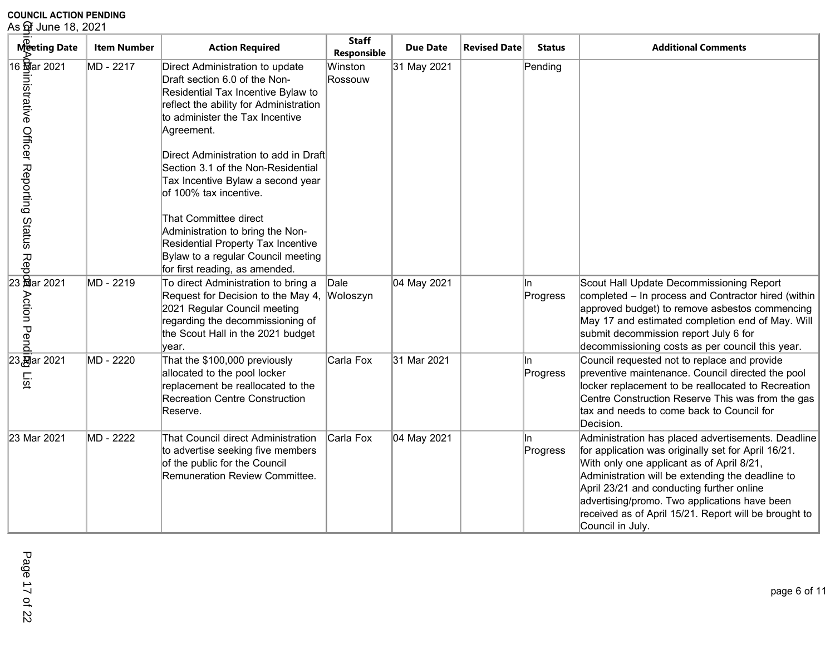| As ଫି June 18, 2021                                                                                              |                    |                                                                                                                                                                                                                                                                                                                                                                                                                                                                                                                            |                             |                 |                     |                  |                                                                                                                                                                                                                                                                                                                                                                                         |  |  |
|------------------------------------------------------------------------------------------------------------------|--------------------|----------------------------------------------------------------------------------------------------------------------------------------------------------------------------------------------------------------------------------------------------------------------------------------------------------------------------------------------------------------------------------------------------------------------------------------------------------------------------------------------------------------------------|-----------------------------|-----------------|---------------------|------------------|-----------------------------------------------------------------------------------------------------------------------------------------------------------------------------------------------------------------------------------------------------------------------------------------------------------------------------------------------------------------------------------------|--|--|
| Meeting Date                                                                                                     | <b>Item Number</b> | <b>Action Required</b>                                                                                                                                                                                                                                                                                                                                                                                                                                                                                                     | <b>Staff</b><br>Responsible | <b>Due Date</b> | <b>Revised Date</b> | <b>Status</b>    | <b>Additional Comments</b>                                                                                                                                                                                                                                                                                                                                                              |  |  |
| 16 <b>封</b> ar 2021<br>rstrative Officer Reporting Status Repp<br>mistrative Officer Reporting Status Repp<br>SS | MD - 2217          | Direct Administration to update<br>Draft section 6.0 of the Non-<br>Residential Tax Incentive Bylaw to<br>reflect the ability for Administration<br>to administer the Tax Incentive<br>Agreement.<br>Direct Administration to add in Draft<br>Section 3.1 of the Non-Residential<br>Tax Incentive Bylaw a second year<br>of 100% tax incentive.<br>That Committee direct<br>Administration to bring the Non-<br>Residential Property Tax Incentive<br>Bylaw to a regular Council meeting<br>for first reading, as amended. | Winston<br>Rossouw          | 31 May 2021     |                     | Pending          |                                                                                                                                                                                                                                                                                                                                                                                         |  |  |
| <b>Action Pend</b>                                                                                               | MD - 2219          | To direct Administration to bring a<br>Request for Decision to the May 4,<br>2021 Regular Council meeting<br>regarding the decommissioning of<br>the Scout Hall in the 2021 budget<br>year.                                                                                                                                                                                                                                                                                                                                | Dale<br>Woloszyn            | 04 May 2021     |                     | lln.<br>Progress | Scout Hall Update Decommissioning Report<br>completed - In process and Contractor hired (within<br>approved budget) to remove asbestos commencing<br>May 17 and estimated completion end of May. Will<br>submit decommission report July 6 for<br>decommissioning costs as per council this year.                                                                                       |  |  |
| 23 ar 2021<br>List                                                                                               | MD - 2220          | That the \$100,000 previously<br>allocated to the pool locker<br>replacement be reallocated to the<br><b>Recreation Centre Construction</b><br>Reserve.                                                                                                                                                                                                                                                                                                                                                                    | Carla Fox                   | 31 Mar 2021     |                     | lln.<br>Progress | Council requested not to replace and provide<br>preventive maintenance. Council directed the pool<br>locker replacement to be reallocated to Recreation<br>Centre Construction Reserve This was from the gas<br>tax and needs to come back to Council for<br>Decision.                                                                                                                  |  |  |
| 23 Mar 2021                                                                                                      | MD - 2222          | That Council direct Administration<br>to advertise seeking five members<br>of the public for the Council<br>Remuneration Review Committee.                                                                                                                                                                                                                                                                                                                                                                                 | Carla Fox                   | 04 May 2021     |                     | lln.<br>Progress | Administration has placed advertisements. Deadline<br>for application was originally set for April 16/21.<br>With only one applicant as of April 8/21,<br>Administration will be extending the deadline to<br>April 23/21 and conducting further online<br>advertising/promo. Two applications have been<br>received as of April 15/21. Report will be brought to<br>Council in July. . |  |  |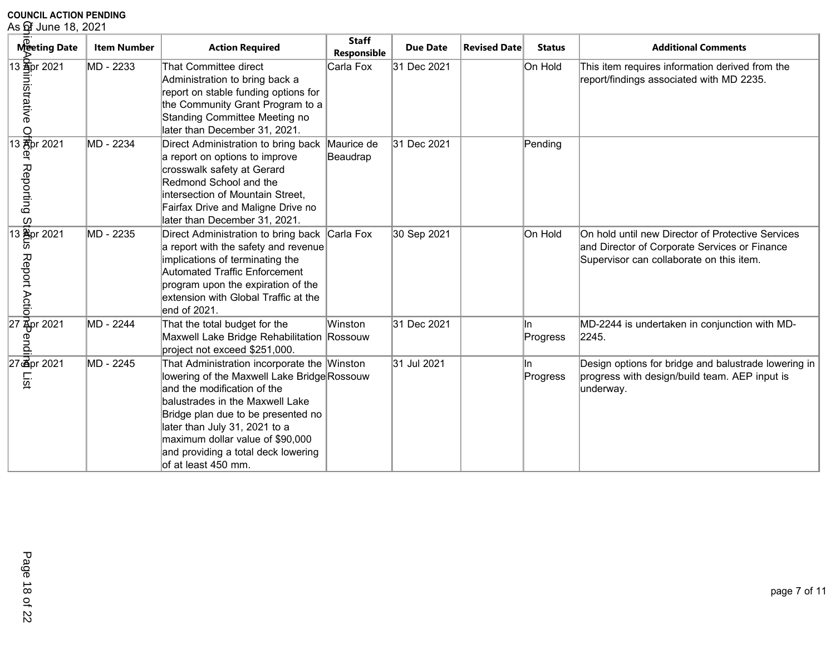| As of June 18, 2021                                        |                    |                                                                                                                                                                                                                                                                                                                                        |                             |                 |                     |                 |                                                                                                                                                |  |  |
|------------------------------------------------------------|--------------------|----------------------------------------------------------------------------------------------------------------------------------------------------------------------------------------------------------------------------------------------------------------------------------------------------------------------------------------|-----------------------------|-----------------|---------------------|-----------------|------------------------------------------------------------------------------------------------------------------------------------------------|--|--|
| Meeting Date                                               | <b>Item Number</b> | <b>Action Required</b>                                                                                                                                                                                                                                                                                                                 | <b>Staff</b><br>Responsible | <b>Due Date</b> | <b>Revised Date</b> | <b>Status</b>   | <b>Additional Comments</b>                                                                                                                     |  |  |
| 13 <b>Apr</b> 2021<br>nistrative                           | MD - 2233          | That Committee direct<br>Administration to bring back a<br>report on stable funding options for<br>the Community Grant Program to a<br>Standing Committee Meeting no<br>later than December 31, 2021.                                                                                                                                  | Carla Fox                   | 31 Dec 2021     |                     | On Hold         | This item requires information derived from the<br>report/findings associated with MD 2235.                                                    |  |  |
| $\frac{9}{13}$ and $\frac{1}{6}$ pr 2021<br>Reporting<br>ပ | MD - 2234          | Direct Administration to bring back<br>a report on options to improve<br>crosswalk safety at Gerard<br>Redmond School and the<br>intersection of Mountain Street,<br>Fairfax Drive and Maligne Drive no<br>later than December 31, 2021.                                                                                               | Maurice de<br>Beaudrap      | 31 Dec 2021     |                     | Pending         |                                                                                                                                                |  |  |
| $\frac{1}{13}$ $\frac{1}{20}$ pr 2021<br>Report Actio      | MD - 2235          | Direct Administration to bring back Carla Fox<br>a report with the safety and revenue<br>implications of terminating the<br>Automated Traffic Enforcement<br>program upon the expiration of the<br>extension with Global Traffic at the<br>end of 2021.                                                                                |                             | 30 Sep 2021     |                     | On Hold         | On hold until new Director of Protective Services<br>and Director of Corporate Services or Finance<br>Supervisor can collaborate on this item. |  |  |
| 27 Apr 2021<br>endi                                        | MD - 2244          | That the total budget for the<br>Maxwell Lake Bridge Rehabilitation Rossouw<br>project not exceed \$251,000.                                                                                                                                                                                                                           | Winston                     | 31 Dec 2021     |                     | ln.<br>Progress | MD-2244 is undertaken in conjunction with MD-<br>2245.                                                                                         |  |  |
| 27 apr 2021<br>List                                        | MD - 2245          | That Administration incorporate the Winston<br>lowering of the Maxwell Lake Bridge Rossouw<br>and the modification of the<br>balustrades in the Maxwell Lake<br>Bridge plan due to be presented no<br>later than July 31, 2021 to a<br>maximum dollar value of \$90,000<br>and providing a total deck lowering<br>lof at least 450 mm. |                             | 31 Jul 2021     |                     | ln.<br>Progress | Design options for bridge and balustrade lowering in<br>progress with design/build team. AEP input is<br>underway.                             |  |  |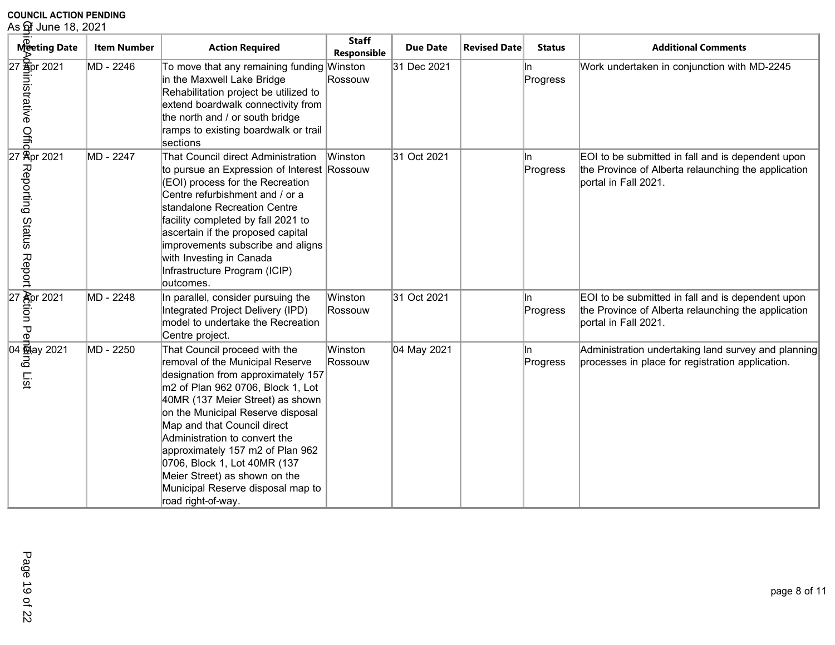| As of June 18, 2021                                   |                    |                                                                                                                                                                                                                                                                                                                                                                                                                                                       |                             |                 |                     |                 |                                                                                                                                  |  |
|-------------------------------------------------------|--------------------|-------------------------------------------------------------------------------------------------------------------------------------------------------------------------------------------------------------------------------------------------------------------------------------------------------------------------------------------------------------------------------------------------------------------------------------------------------|-----------------------------|-----------------|---------------------|-----------------|----------------------------------------------------------------------------------------------------------------------------------|--|
| Meeting Date                                          | <b>Item Number</b> | <b>Action Required</b>                                                                                                                                                                                                                                                                                                                                                                                                                                | <b>Staff</b><br>Responsible | <b>Due Date</b> | <b>Revised Date</b> | <b>Status</b>   | <b>Additional Comments</b>                                                                                                       |  |
| 27 Spr 2021<br>Property<br>Proper 2021<br>Proper 2021 | MD - 2246          | To move that any remaining funding Winston<br>in the Maxwell Lake Bridge<br>Rehabilitation project be utilized to<br>extend boardwalk connectivity from<br>the north and / or south bridge<br>ramps to existing boardwalk or trail<br>sections                                                                                                                                                                                                        | Rossouw                     | 31 Dec 2021     |                     | In.<br>Progress | Work undertaken in conjunction with MD-2245                                                                                      |  |
| Reporting Status Report                               | MD - 2247          | That Council direct Administration<br>to pursue an Expression of Interest Rossouw<br>(EOI) process for the Recreation<br>Centre refurbishment and / or a<br>standalone Recreation Centre<br>facility completed by fall 2021 to<br>ascertain if the proposed capital<br>improvements subscribe and aligns<br>with Investing in Canada<br>Infrastructure Program (ICIP)<br>outcomes.                                                                    | Winston                     | 31 Oct 2021     |                     | In.<br>Progress | EOI to be submitted in fall and is dependent upon<br>the Province of Alberta relaunching the application<br>portal in Fall 2021. |  |
| $\frac{27}{5}$ and $\frac{2021}{5}$<br>ЪЪ             | MD - 2248          | In parallel, consider pursuing the<br>Integrated Project Delivery (IPD)<br>model to undertake the Recreation<br>Centre project.                                                                                                                                                                                                                                                                                                                       | Winston<br>Rossouw          | 31 Oct 2021     |                     | ln.<br>Progress | EOI to be submitted in fall and is dependent upon<br>the Province of Alberta relaunching the application<br>portal in Fall 2021. |  |
| 04 May 2021<br>ھ<br>List                              | MD - 2250          | That Council proceed with the<br>removal of the Municipal Reserve<br>designation from approximately 157<br>m2 of Plan 962 0706, Block 1, Lot<br>40MR (137 Meier Street) as shown<br>on the Municipal Reserve disposal<br>Map and that Council direct<br>Administration to convert the<br>approximately 157 m2 of Plan 962<br>0706, Block 1, Lot 40MR (137<br>Meier Street) as shown on the<br>Municipal Reserve disposal map to<br>road right-of-way. | Winston<br>Rossouw          | 04 May 2021     |                     | ln.<br>Progress | Administration undertaking land survey and planning<br>processes in place for registration application.                          |  |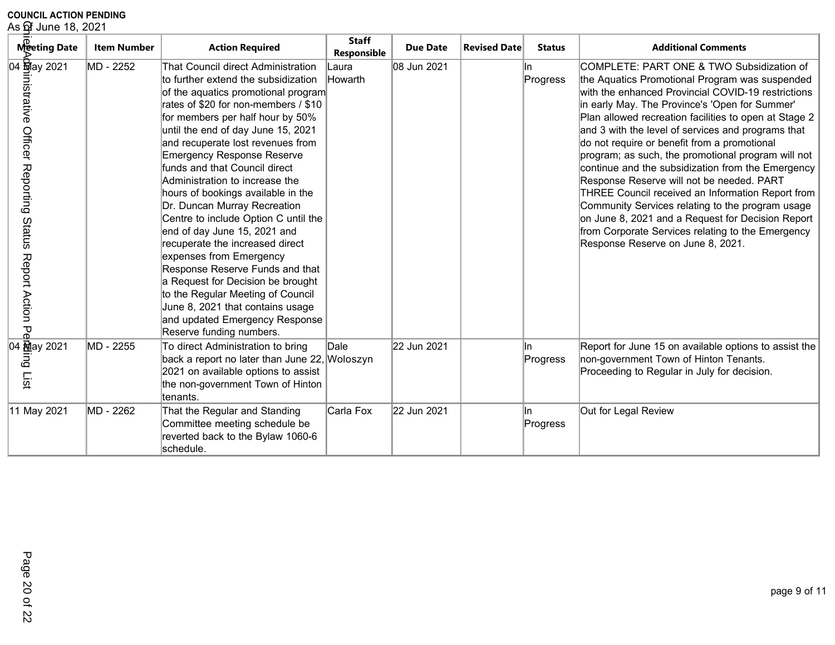**COUNCIL ACTION PENDING**<br>As ଫି June 18, 2021

| As ଫିୁ June 18, 2021                                                                 |                    |                                                                                                                                                                                                                                                                                                                                                                                                                                                                                                                                                                                                                                                                                                                                                                                                            |                             |                 |                     |                 |                                                                                                                                                                                                                                                                                                                                                                                                                                                                                                                                                                                                                                                                                                                                                                                    |  |
|--------------------------------------------------------------------------------------|--------------------|------------------------------------------------------------------------------------------------------------------------------------------------------------------------------------------------------------------------------------------------------------------------------------------------------------------------------------------------------------------------------------------------------------------------------------------------------------------------------------------------------------------------------------------------------------------------------------------------------------------------------------------------------------------------------------------------------------------------------------------------------------------------------------------------------------|-----------------------------|-----------------|---------------------|-----------------|------------------------------------------------------------------------------------------------------------------------------------------------------------------------------------------------------------------------------------------------------------------------------------------------------------------------------------------------------------------------------------------------------------------------------------------------------------------------------------------------------------------------------------------------------------------------------------------------------------------------------------------------------------------------------------------------------------------------------------------------------------------------------------|--|
| Meeting Date                                                                         | <b>Item Number</b> | <b>Action Required</b>                                                                                                                                                                                                                                                                                                                                                                                                                                                                                                                                                                                                                                                                                                                                                                                     | <b>Staff</b><br>Responsible | <b>Due Date</b> | <b>Revised Date</b> | <b>Status</b>   | <b>Additional Comments</b>                                                                                                                                                                                                                                                                                                                                                                                                                                                                                                                                                                                                                                                                                                                                                         |  |
| 04 <b>封</b> ay 2021<br>histrative<br>Officer Reporting<br>Status<br>Report Action Pe | MD - 2252          | That Council direct Administration<br>to further extend the subsidization<br>of the aquatics promotional program<br>rates of \$20 for non-members / \$10<br>for members per half hour by 50%<br>until the end of day June 15, 2021<br>and recuperate lost revenues from<br><b>Emergency Response Reserve</b><br>funds and that Council direct<br>Administration to increase the<br>hours of bookings available in the<br>Dr. Duncan Murray Recreation<br>Centre to include Option C until the<br>end of day June 15, 2021 and<br>recuperate the increased direct<br>expenses from Emergency<br>Response Reserve Funds and that<br>a Request for Decision be brought<br>to the Regular Meeting of Council<br>June 8, 2021 that contains usage<br>and updated Emergency Response<br>Reserve funding numbers. | Laura<br>Howarth            | 08 Jun 2021     |                     | In.<br>Progress | COMPLETE: PART ONE & TWO Subsidization of<br>the Aquatics Promotional Program was suspended<br>with the enhanced Provincial COVID-19 restrictions<br>in early May. The Province's 'Open for Summer'<br>Plan allowed recreation facilities to open at Stage 2<br>and 3 with the level of services and programs that<br>do not require or benefit from a promotional<br>program; as such, the promotional program will not<br>continue and the subsidization from the Emergency<br>Response Reserve will not be needed. PART<br>THREE Council received an Information Report from<br>Community Services relating to the program usage<br>on June 8, 2021 and a Request for Decision Report<br>from Corporate Services relating to the Emergency<br>Response Reserve on June 8, 2021. |  |
| ධි<br>List                                                                           | MD - 2255          | To direct Administration to bring<br>back a report no later than June 22, Woloszyn<br>2021 on available options to assist<br>the non-government Town of Hinton<br>ltenants.                                                                                                                                                                                                                                                                                                                                                                                                                                                                                                                                                                                                                                | Dale                        | 22 Jun 2021     |                     | In.<br>Progress | Report for June 15 on available options to assist the<br>non-government Town of Hinton Tenants.<br>Proceeding to Regular in July for decision.                                                                                                                                                                                                                                                                                                                                                                                                                                                                                                                                                                                                                                     |  |
| 11 May 2021                                                                          | MD - 2262          | That the Regular and Standing<br>Committee meeting schedule be<br>reverted back to the Bylaw 1060-6<br>lschedule.                                                                                                                                                                                                                                                                                                                                                                                                                                                                                                                                                                                                                                                                                          | Carla Fox                   | 22 Jun 2021     |                     | ln.<br>Progress | Out for Legal Review                                                                                                                                                                                                                                                                                                                                                                                                                                                                                                                                                                                                                                                                                                                                                               |  |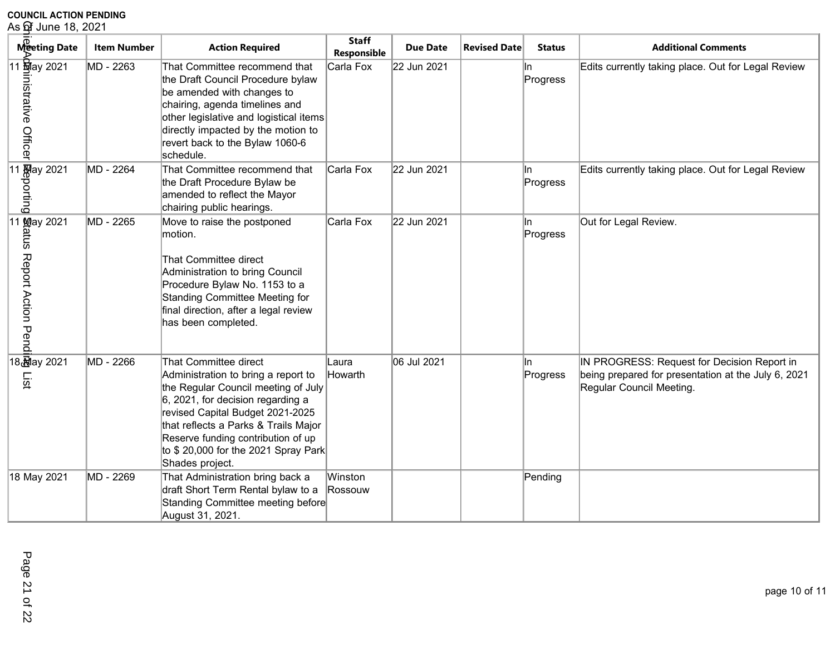| As of June 18, 2021                                                                                                                                                                        |                    |                                                                                                                                                                                                                                                                                                                      |                             |                 |                     |                 |                                                                                                                                |  |
|--------------------------------------------------------------------------------------------------------------------------------------------------------------------------------------------|--------------------|----------------------------------------------------------------------------------------------------------------------------------------------------------------------------------------------------------------------------------------------------------------------------------------------------------------------|-----------------------------|-----------------|---------------------|-----------------|--------------------------------------------------------------------------------------------------------------------------------|--|
| Meeting Date                                                                                                                                                                               | <b>Item Number</b> | <b>Action Required</b>                                                                                                                                                                                                                                                                                               | <b>Staff</b><br>Responsible | <b>Due Date</b> | <b>Revised Date</b> | <b>Status</b>   | <b>Additional Comments</b>                                                                                                     |  |
| 11 <u>ज</u> ़िay 2021<br>nistrative Officer                                                                                                                                                | MD - 2263          | That Committee recommend that<br>the Draft Council Procedure bylaw<br>be amended with changes to<br>chairing, agenda timelines and<br>other legislative and logistical items<br>directly impacted by the motion to<br>revert back to the Bylaw 1060-6<br>schedule.                                                   | Carla Fox                   | 22 Jun 2021     |                     | In.<br>Progress | Edits currently taking place. Out for Legal Review                                                                             |  |
| $\begin{array}{r}\n 11 \overline{M} \text{day } 2021 \\  \overline{D} \\  \overline{D} \\  \overline{D} \\  \overline{D} \\  \overline{D} \\  \overline{D} \\  \overline{D}\n \end{array}$ | MD - 2264          | That Committee recommend that<br>the Draft Procedure Bylaw be<br>amended to reflect the Mayor<br>chairing public hearings.                                                                                                                                                                                           | Carla Fox                   | 22 Jun 2021     |                     | In.<br>Progress | Edits currently taking place. Out for Legal Review                                                                             |  |
| 11 May 2021<br>tatus Report Action Pend                                                                                                                                                    | MD - 2265          | Move to raise the postponed<br>motion.<br>That Committee direct<br>Administration to bring Council<br>Procedure Bylaw No. 1153 to a<br>Standing Committee Meeting for<br>final direction, after a legal review<br>has been completed.                                                                                | Carla Fox                   | 22 Jun 2021     |                     | In.<br>Progress | Out for Legal Review.                                                                                                          |  |
| 18 ay 2021<br>List                                                                                                                                                                         | MD - 2266          | That Committee direct<br>Administration to bring a report to<br>the Regular Council meeting of July<br>6, 2021, for decision regarding a<br>revised Capital Budget 2021-2025<br>that reflects a Parks & Trails Major<br>Reserve funding contribution of up<br>to \$20,000 for the 2021 Spray Park<br>Shades project. | Laura<br>Howarth            | 06 Jul 2021     |                     | In.<br>Progress | IN PROGRESS: Request for Decision Report in<br>being prepared for presentation at the July 6, 2021<br>Regular Council Meeting. |  |
| 18 May 2021                                                                                                                                                                                | MD - 2269          | That Administration bring back a<br>draft Short Term Rental bylaw to a<br>Standing Committee meeting before<br>August 31, 2021.                                                                                                                                                                                      | Winston<br>Rossouw          |                 |                     | Pending         |                                                                                                                                |  |